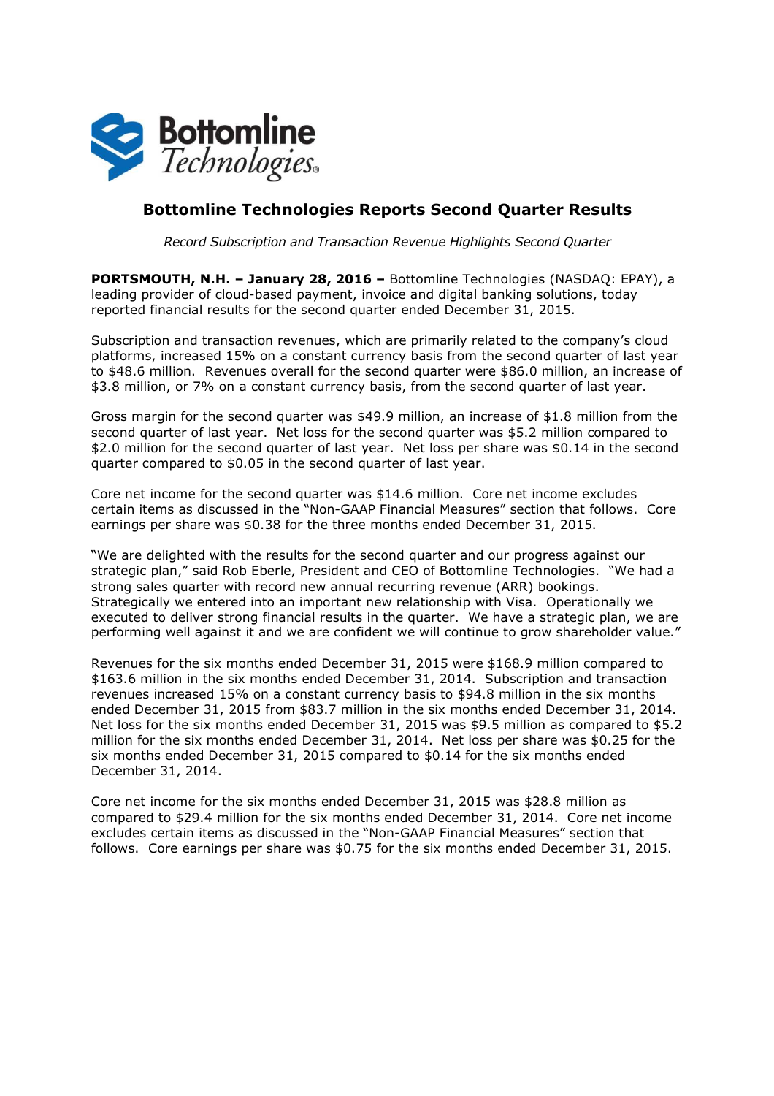

# **Bottomline Technologies Reports Second Quarter Results**

*Record Subscription and Transaction Revenue Highlights Second Quarter* 

**PORTSMOUTH, N.H. – January 28, 2016 –** Bottomline Technologies (NASDAQ: EPAY), a leading provider of cloud-based payment, invoice and digital banking solutions, today reported financial results for the second quarter ended December 31, 2015.

Subscription and transaction revenues, which are primarily related to the company's cloud platforms, increased 15% on a constant currency basis from the second quarter of last year to \$48.6 million. Revenues overall for the second quarter were \$86.0 million, an increase of \$3.8 million, or 7% on a constant currency basis, from the second quarter of last year.

Gross margin for the second quarter was \$49.9 million, an increase of \$1.8 million from the second quarter of last year. Net loss for the second quarter was \$5.2 million compared to \$2.0 million for the second quarter of last year. Net loss per share was \$0.14 in the second quarter compared to \$0.05 in the second quarter of last year.

Core net income for the second quarter was \$14.6 million. Core net income excludes certain items as discussed in the "Non-GAAP Financial Measures" section that follows. Core earnings per share was \$0.38 for the three months ended December 31, 2015.

"We are delighted with the results for the second quarter and our progress against our strategic plan," said Rob Eberle, President and CEO of Bottomline Technologies. "We had a strong sales quarter with record new annual recurring revenue (ARR) bookings. Strategically we entered into an important new relationship with Visa. Operationally we executed to deliver strong financial results in the quarter. We have a strategic plan, we are performing well against it and we are confident we will continue to grow shareholder value."

Revenues for the six months ended December 31, 2015 were \$168.9 million compared to \$163.6 million in the six months ended December 31, 2014. Subscription and transaction revenues increased 15% on a constant currency basis to \$94.8 million in the six months ended December 31, 2015 from \$83.7 million in the six months ended December 31, 2014. Net loss for the six months ended December 31, 2015 was \$9.5 million as compared to \$5.2 million for the six months ended December 31, 2014. Net loss per share was \$0.25 for the six months ended December 31, 2015 compared to \$0.14 for the six months ended December 31, 2014.

Core net income for the six months ended December 31, 2015 was \$28.8 million as compared to \$29.4 million for the six months ended December 31, 2014. Core net income excludes certain items as discussed in the "Non-GAAP Financial Measures" section that follows. Core earnings per share was \$0.75 for the six months ended December 31, 2015.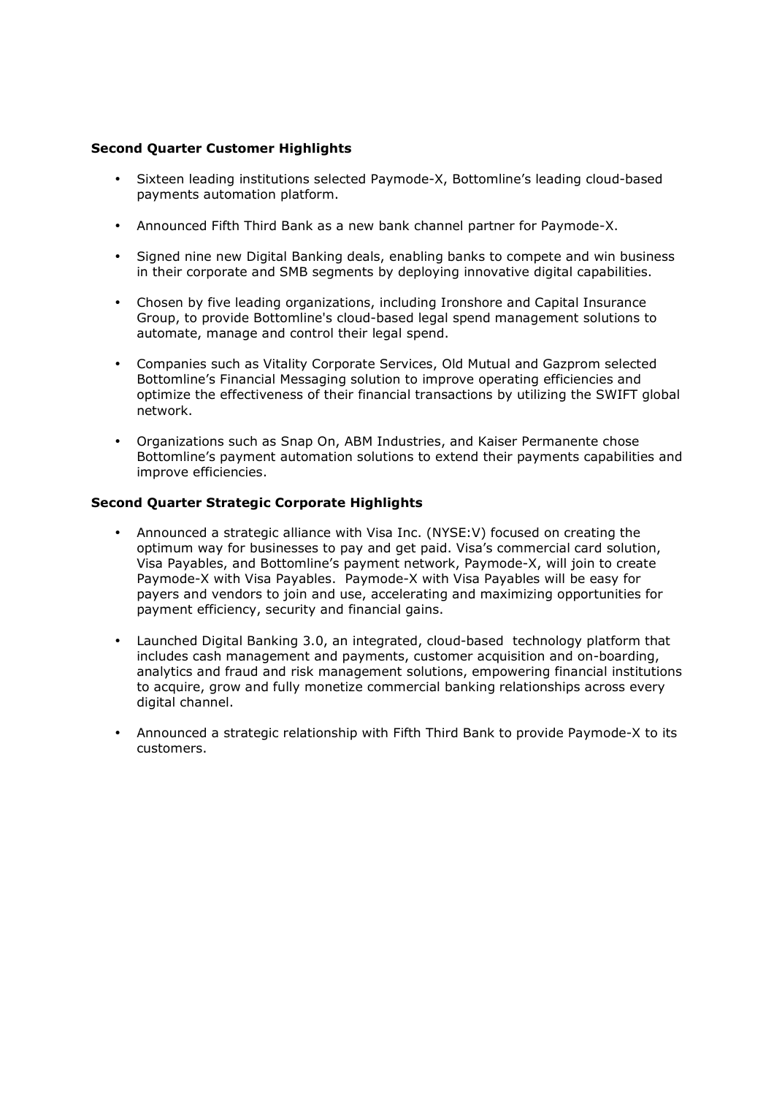## **Second Quarter Customer Highlights**

- Sixteen leading institutions selected Paymode-X, Bottomline's leading cloud-based payments automation platform.
- Announced Fifth Third Bank as a new bank channel partner for Paymode-X.
- Signed nine new Digital Banking deals, enabling banks to compete and win business in their corporate and SMB segments by deploying innovative digital capabilities.
- Chosen by five leading organizations, including Ironshore and Capital Insurance Group, to provide Bottomline's cloud-based legal spend management solutions to automate, manage and control their legal spend.
- Companies such as Vitality Corporate Services, Old Mutual and Gazprom selected Bottomline's Financial Messaging solution to improve operating efficiencies and optimize the effectiveness of their financial transactions by utilizing the SWIFT global network.
- Organizations such as Snap On, ABM Industries, and Kaiser Permanente chose Bottomline's payment automation solutions to extend their payments capabilities and improve efficiencies.

## **Second Quarter Strategic Corporate Highlights**

- Announced a strategic alliance with Visa Inc. (NYSE:V) focused on creating the optimum way for businesses to pay and get paid. Visa's commercial card solution, Visa Payables, and Bottomline's payment network, Paymode-X, will join to create Paymode-X with Visa Payables. Paymode-X with Visa Payables will be easy for payers and vendors to join and use, accelerating and maximizing opportunities for payment efficiency, security and financial gains.
- Launched Digital Banking 3.0, an integrated, cloud-based technology platform that includes cash management and payments, customer acquisition and on-boarding, analytics and fraud and risk management solutions, empowering financial institutions to acquire, grow and fully monetize commercial banking relationships across every digital channel.
- Announced a strategic relationship with Fifth Third Bank to provide Paymode-X to its customers.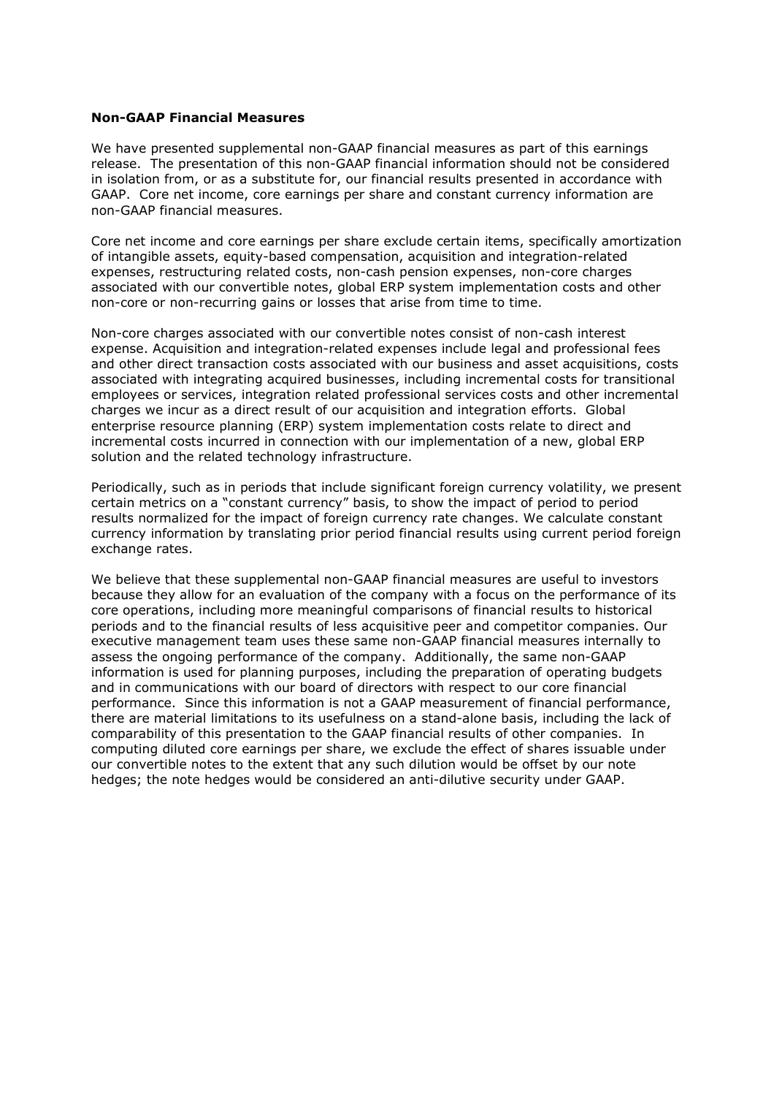### **Non-GAAP Financial Measures**

We have presented supplemental non-GAAP financial measures as part of this earnings release. The presentation of this non-GAAP financial information should not be considered in isolation from, or as a substitute for, our financial results presented in accordance with GAAP. Core net income, core earnings per share and constant currency information are non-GAAP financial measures.

Core net income and core earnings per share exclude certain items, specifically amortization of intangible assets, equity-based compensation, acquisition and integration-related expenses, restructuring related costs, non-cash pension expenses, non-core charges associated with our convertible notes, global ERP system implementation costs and other non-core or non-recurring gains or losses that arise from time to time.

Non-core charges associated with our convertible notes consist of non-cash interest expense. Acquisition and integration-related expenses include legal and professional fees and other direct transaction costs associated with our business and asset acquisitions, costs associated with integrating acquired businesses, including incremental costs for transitional employees or services, integration related professional services costs and other incremental charges we incur as a direct result of our acquisition and integration efforts. Global enterprise resource planning (ERP) system implementation costs relate to direct and incremental costs incurred in connection with our implementation of a new, global ERP solution and the related technology infrastructure.

Periodically, such as in periods that include significant foreign currency volatility, we present certain metrics on a "constant currency" basis, to show the impact of period to period results normalized for the impact of foreign currency rate changes. We calculate constant currency information by translating prior period financial results using current period foreign exchange rates.

We believe that these supplemental non-GAAP financial measures are useful to investors because they allow for an evaluation of the company with a focus on the performance of its core operations, including more meaningful comparisons of financial results to historical periods and to the financial results of less acquisitive peer and competitor companies. Our executive management team uses these same non-GAAP financial measures internally to assess the ongoing performance of the company. Additionally, the same non-GAAP information is used for planning purposes, including the preparation of operating budgets and in communications with our board of directors with respect to our core financial performance. Since this information is not a GAAP measurement of financial performance, there are material limitations to its usefulness on a stand-alone basis, including the lack of comparability of this presentation to the GAAP financial results of other companies. In computing diluted core earnings per share, we exclude the effect of shares issuable under our convertible notes to the extent that any such dilution would be offset by our note hedges; the note hedges would be considered an anti-dilutive security under GAAP.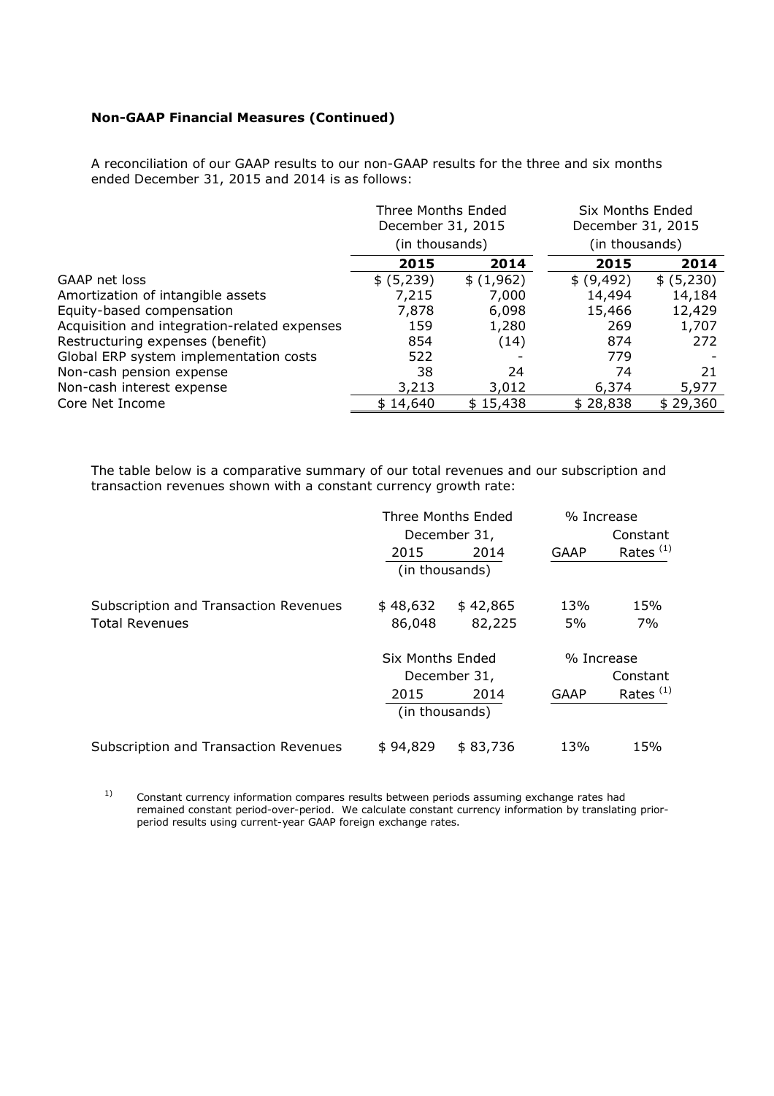## **Non-GAAP Financial Measures (Continued)**

A reconciliation of our GAAP results to our non-GAAP results for the three and six months ended December 31, 2015 and 2014 is as follows:

|                                              | Three Months Ended<br>December 31, 2015<br>(in thousands) |           | Six Months Ended<br>December 31, 2015<br>(in thousands) |            |
|----------------------------------------------|-----------------------------------------------------------|-----------|---------------------------------------------------------|------------|
|                                              |                                                           |           |                                                         |            |
|                                              | 2015                                                      | 2014      | 2015                                                    | 2014       |
| GAAP net loss                                | \$ (5,239)                                                | \$(1,962) | \$ (9, 492)                                             | \$ (5,230) |
| Amortization of intangible assets            | 7,215                                                     | 7,000     | 14,494                                                  | 14,184     |
| Equity-based compensation                    | 7,878                                                     | 6,098     | 15,466                                                  | 12,429     |
| Acquisition and integration-related expenses | 159                                                       | 1,280     | 269                                                     | 1,707      |
| Restructuring expenses (benefit)             | 854                                                       | (14)      | 874                                                     | 272        |
| Global ERP system implementation costs       | 522                                                       |           | 779                                                     |            |
| Non-cash pension expense                     | 38                                                        | 24        | 74                                                      | 21         |
| Non-cash interest expense                    | 3,213                                                     | 3,012     | 6,374                                                   | 5,977      |
| Core Net Income                              | \$14,640                                                  | \$15,438  | \$28,838                                                | \$29,360   |

The table below is a comparative summary of our total revenues and our subscription and transaction revenues shown with a constant currency growth rate:

|                                       | Three Months Ended<br>December 31, |          | % Increase  |             |
|---------------------------------------|------------------------------------|----------|-------------|-------------|
|                                       |                                    |          | Constant    |             |
|                                       | 2015                               | 2014     | <b>GAAP</b> | Rates $(1)$ |
|                                       | (in thousands)                     |          |             |             |
| Subscription and Transaction Revenues | \$48,632                           | \$42,865 | 13%         | 15%         |
| <b>Total Revenues</b>                 | 86,048                             | 82,225   | 5%          | 7%          |
|                                       | Six Months Ended                   |          | % Increase  |             |
|                                       | December 31,                       |          | Constant    |             |
|                                       | 2015                               | 2014     | <b>GAAP</b> | Rates $(1)$ |
|                                       | (in thousands)                     |          |             |             |
| Subscription and Transaction Revenues | \$94,829                           | \$83,736 | 13%         | 15%         |

 $1)$  Constant currency information compares results between periods assuming exchange rates had remained constant period-over-period. We calculate constant currency information by translating prior period results using current-year GAAP foreign exchange rates.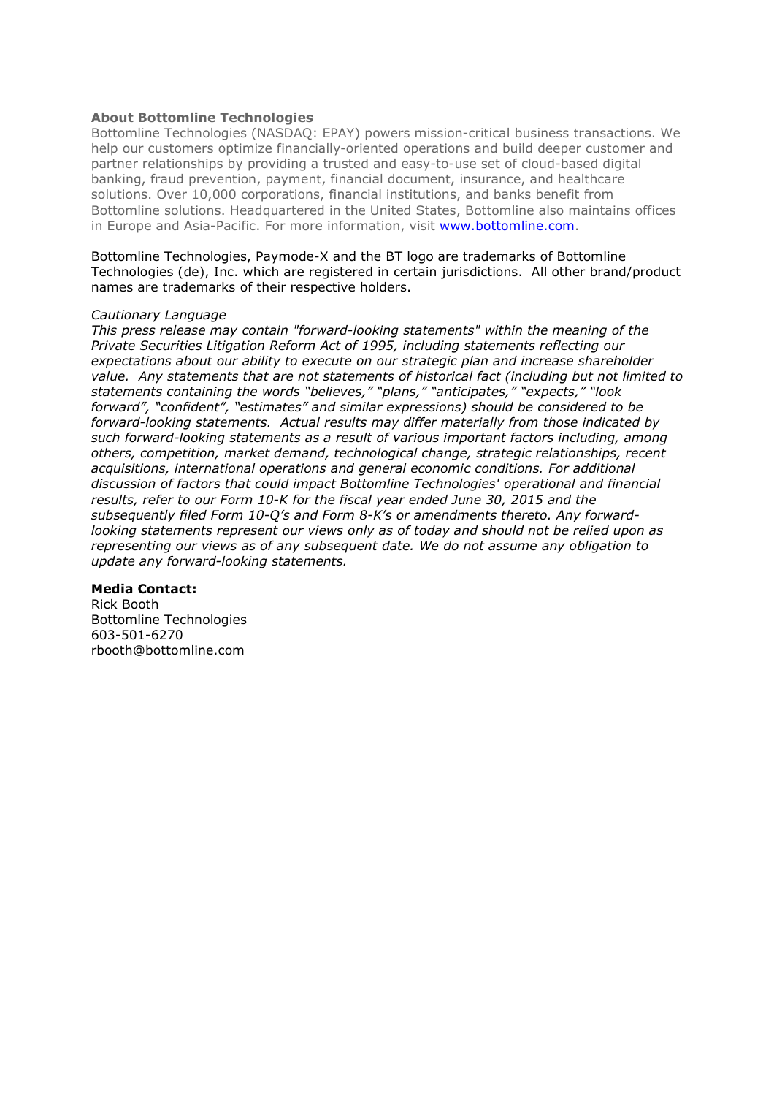## **About Bottomline Technologies**

Bottomline Technologies (NASDAQ: EPAY) powers mission-critical business transactions. We help our customers optimize financially-oriented operations and build deeper customer and partner relationships by providing a trusted and easy-to-use set of cloud-based digital banking, fraud prevention, payment, financial document, insurance, and healthcare solutions. Over 10,000 corporations, financial institutions, and banks benefit from Bottomline solutions. Headquartered in the United States, Bottomline also maintains offices in Europe and Asia-Pacific. For more information, visit www.bottomline.com.

Bottomline Technologies, Paymode-X and the BT logo are trademarks of Bottomline Technologies (de), Inc. which are registered in certain jurisdictions. All other brand/product names are trademarks of their respective holders.

#### *Cautionary Language*

*This press release may contain "forward-looking statements" within the meaning of the Private Securities Litigation Reform Act of 1995, including statements reflecting our expectations about our ability to execute on our strategic plan and increase shareholder value. Any statements that are not statements of historical fact (including but not limited to statements containing the words "believes," "plans," "anticipates," "expects," "look forward", "confident", "estimates" and similar expressions) should be considered to be forward-looking statements. Actual results may differ materially from those indicated by such forward-looking statements as a result of various important factors including, among others, competition, market demand, technological change, strategic relationships, recent acquisitions, international operations and general economic conditions. For additional discussion of factors that could impact Bottomline Technologies' operational and financial results, refer to our Form 10-K for the fiscal year ended June 30, 2015 and the subsequently filed Form 10-Q's and Form 8-K's or amendments thereto. Any forwardlooking statements represent our views only as of today and should not be relied upon as representing our views as of any subsequent date. We do not assume any obligation to update any forward-looking statements.* 

#### **Media Contact:**

Rick Booth Bottomline Technologies 603-501-6270 rbooth@bottomline.com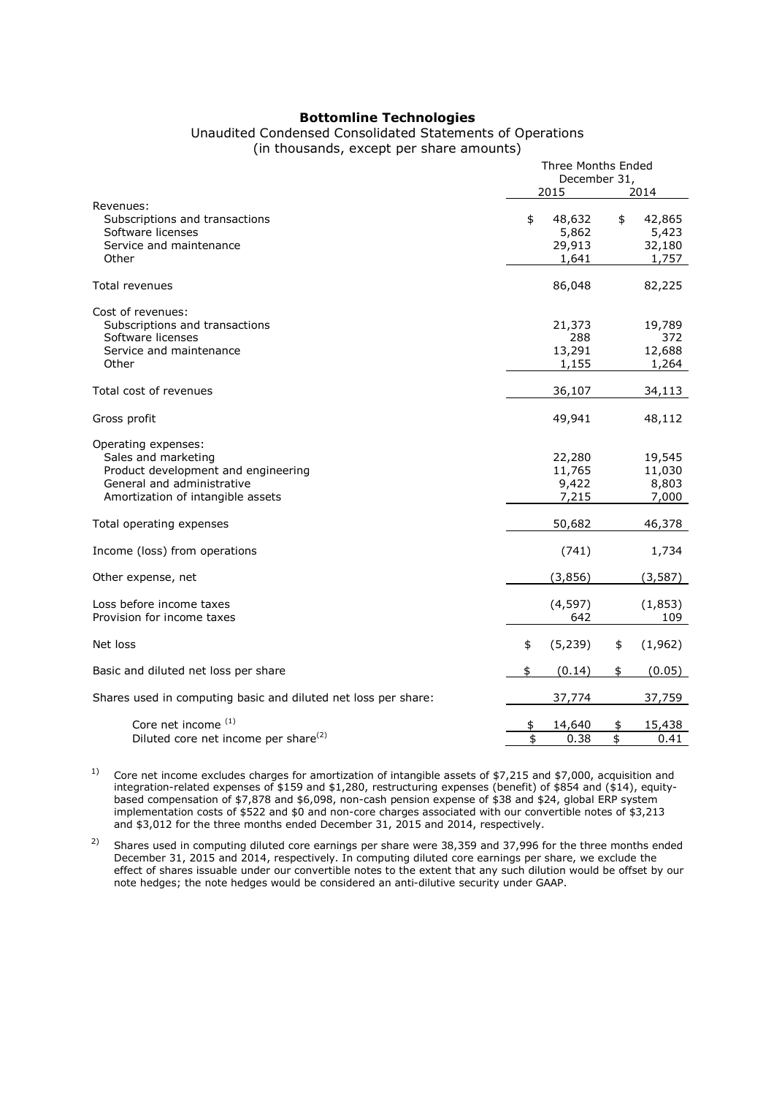#### **Bottomline Technologies**

### Unaudited Condensed Consolidated Statements of Operations (in thousands, except per share amounts)

|                                                                                                                                                      |          | <b>Three Months Ended</b><br>December 31,<br>2015 | 2014     |                                    |
|------------------------------------------------------------------------------------------------------------------------------------------------------|----------|---------------------------------------------------|----------|------------------------------------|
| Revenues:<br>Subscriptions and transactions<br>Software licenses<br>Service and maintenance<br>Other                                                 | \$       | 48,632<br>5,862<br>29,913<br>1,641                | \$       | 42,865<br>5,423<br>32,180<br>1,757 |
| Total revenues                                                                                                                                       |          | 86,048                                            |          | 82,225                             |
| Cost of revenues:<br>Subscriptions and transactions<br>Software licenses<br>Service and maintenance<br>Other                                         |          | 21,373<br>288<br>13,291<br>1,155                  |          | 19,789<br>372<br>12,688<br>1,264   |
| Total cost of revenues                                                                                                                               |          | 36,107                                            |          | 34,113                             |
| Gross profit                                                                                                                                         |          | 49,941                                            |          | 48,112                             |
| Operating expenses:<br>Sales and marketing<br>Product development and engineering<br>General and administrative<br>Amortization of intangible assets |          | 22,280<br>11,765<br>9,422<br>7,215                |          | 19,545<br>11,030<br>8,803<br>7,000 |
| Total operating expenses                                                                                                                             |          | 50,682                                            |          | 46,378                             |
| Income (loss) from operations                                                                                                                        |          | (741)                                             |          | 1,734                              |
| Other expense, net                                                                                                                                   |          | (3,856)                                           |          | (3, 587)                           |
| Loss before income taxes<br>Provision for income taxes                                                                                               |          | (4, 597)<br>642                                   |          | (1,853)<br>109                     |
| Net loss                                                                                                                                             | \$       | (5, 239)                                          | \$       | (1,962)                            |
| Basic and diluted net loss per share                                                                                                                 | \$       | (0.14)                                            | \$       | (0.05)                             |
| Shares used in computing basic and diluted net loss per share:                                                                                       |          | 37,774                                            |          | 37,759                             |
| Core net income (1)<br>Diluted core net income per share <sup>(2)</sup>                                                                              | \$<br>\$ | 14,640<br>0.38                                    | \$<br>\$ | 15,438<br>0.41                     |

<sup>1)</sup> Core net income excludes charges for amortization of intangible assets of \$7,215 and \$7,000, acquisition and integration-related expenses of \$159 and \$1,280, restructuring expenses (benefit) of \$854 and (\$14), equitybased compensation of \$7,878 and \$6,098, non-cash pension expense of \$38 and \$24, global ERP system implementation costs of \$522 and \$0 and non-core charges associated with our convertible notes of \$3,213 and \$3,012 for the three months ended December 31, 2015 and 2014, respectively.

<sup>2)</sup> Shares used in computing diluted core earnings per share were 38,359 and 37,996 for the three months ended December 31, 2015 and 2014, respectively. In computing diluted core earnings per share, we exclude the effect of shares issuable under our convertible notes to the extent that any such dilution would be offset by our note hedges; the note hedges would be considered an anti-dilutive security under GAAP.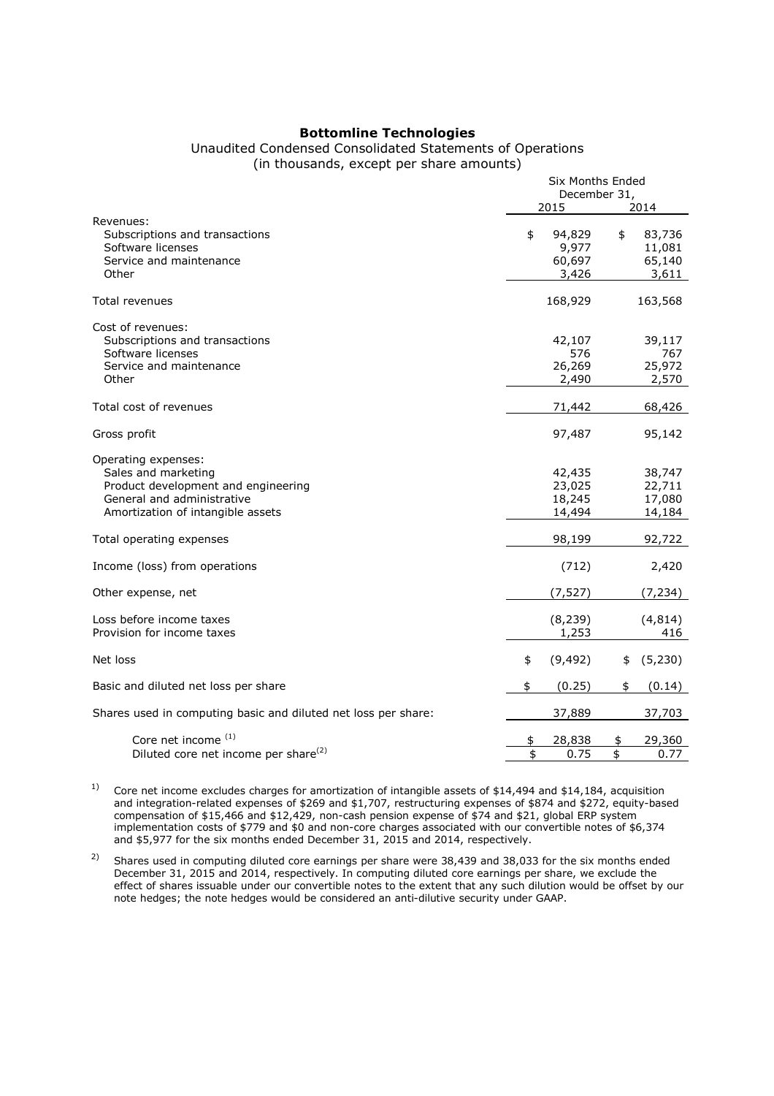## **Bottomline Technologies**

### Unaudited Condensed Consolidated Statements of Operations (in thousands, except per share amounts)

|                                                                                                                                                      | Six Months Ended<br>December 31,<br>2015<br>2014 |                                      |          |                                      |
|------------------------------------------------------------------------------------------------------------------------------------------------------|--------------------------------------------------|--------------------------------------|----------|--------------------------------------|
| Revenues:<br>Subscriptions and transactions<br>Software licenses<br>Service and maintenance<br>Other                                                 | \$                                               | 94,829<br>9,977<br>60,697<br>3,426   | \$       | 83,736<br>11,081<br>65,140<br>3,611  |
| <b>Total revenues</b>                                                                                                                                |                                                  | 168,929                              |          | 163,568                              |
| Cost of revenues:<br>Subscriptions and transactions<br>Software licenses<br>Service and maintenance<br>Other                                         |                                                  | 42,107<br>576<br>26,269<br>2,490     |          | 39,117<br>767<br>25,972<br>2,570     |
| Total cost of revenues                                                                                                                               |                                                  | 71,442                               |          | 68,426                               |
| Gross profit                                                                                                                                         |                                                  | 97,487                               |          | 95,142                               |
| Operating expenses:<br>Sales and marketing<br>Product development and engineering<br>General and administrative<br>Amortization of intangible assets |                                                  | 42,435<br>23,025<br>18,245<br>14,494 |          | 38,747<br>22,711<br>17,080<br>14,184 |
| Total operating expenses                                                                                                                             |                                                  | 98,199                               |          | 92,722                               |
| Income (loss) from operations                                                                                                                        |                                                  | (712)                                |          | 2,420                                |
| Other expense, net                                                                                                                                   |                                                  | (7, 527)                             |          | (7, 234)                             |
| Loss before income taxes<br>Provision for income taxes                                                                                               |                                                  | (8, 239)<br>1,253                    |          | (4, 814)<br>416                      |
| Net loss                                                                                                                                             | \$                                               | (9, 492)                             | \$       | (5, 230)                             |
| Basic and diluted net loss per share                                                                                                                 | \$                                               | (0.25)                               | \$       | (0.14)                               |
| Shares used in computing basic and diluted net loss per share:                                                                                       |                                                  | 37,889                               |          | 37,703                               |
| Core net income (1)<br>Diluted core net income per share <sup>(2)</sup>                                                                              | \$<br>\$                                         | 28,838<br>0.75                       | \$<br>\$ | 29,360<br>0.77                       |

<sup>1)</sup> Core net income excludes charges for amortization of intangible assets of \$14,494 and \$14,184, acquisition and integration-related expenses of \$269 and \$1,707, restructuring expenses of \$874 and \$272, equity-based compensation of \$15,466 and \$12,429, non-cash pension expense of \$74 and \$21, global ERP system implementation costs of \$779 and \$0 and non-core charges associated with our convertible notes of \$6,374 and \$5,977 for the six months ended December 31, 2015 and 2014, respectively.

<sup>2)</sup> Shares used in computing diluted core earnings per share were 38,439 and 38,033 for the six months ended December 31, 2015 and 2014, respectively. In computing diluted core earnings per share, we exclude the effect of shares issuable under our convertible notes to the extent that any such dilution would be offset by our note hedges; the note hedges would be considered an anti-dilutive security under GAAP.